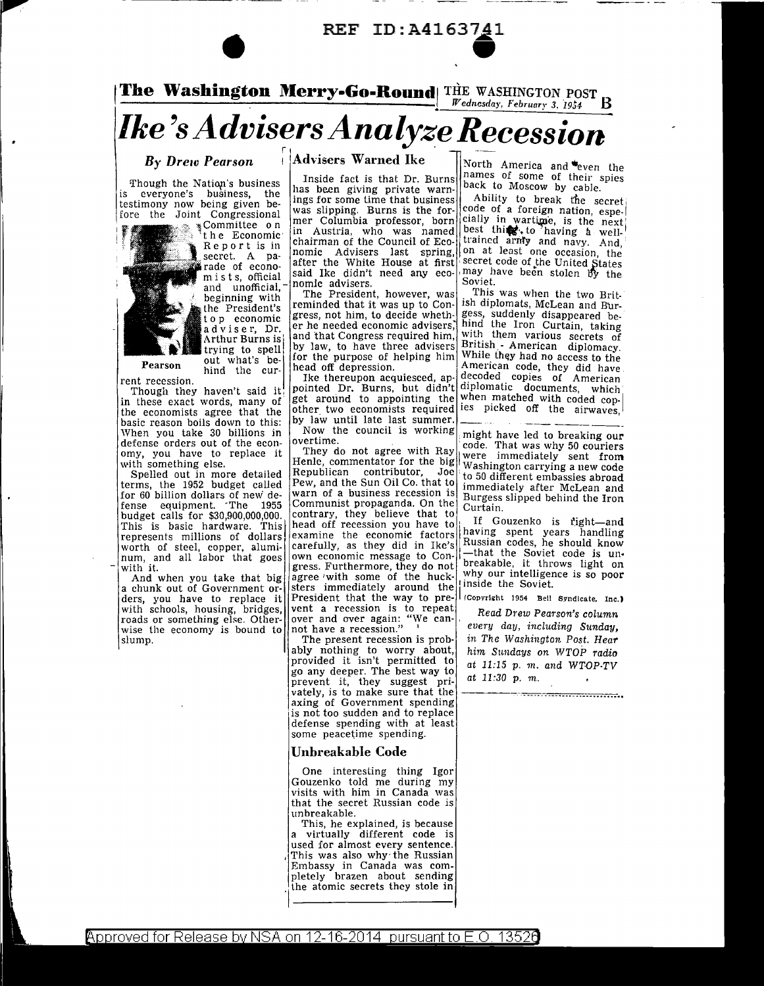

The Washington Merry-Go-Round THE WASHINGTON POST B

# *Ike's Advisers Analyze Recession*

## **By Drew Pearson**

Though the Nation's business  $i \in$ everyone's business, the testimony now being given before the Joint Congressional

 $\sum_{k=1}^{\infty}$   $\sum_{k=1}^{\infty}$  Committee on Report is in secret. A pamists, official and unofficial. beginning with the President's to p economic adviser, Dr. Arthur Burns is

trying to spell

out what's be-

hind the cur-

Pearson

rent recession. Though they haven't said it in these exact words, many of<br>the economists agree that the basic reason boils down to this:<br>When you take 30 billions in defense orders out of the economy, you have to replace it with something else.

for 60 billion dollars of new de-<br>fense equipment. The 1955 budget calls for \$30,900,000,000. This is basic hardware. This worth of steel, copper, alumi-<br>num, and all labor that goes with it.

And when you take that big a chunk out of Government orders, you have to replace it with schools, housing, bridges, roads or something else. Otherwise the economy is bound to slump.

**Advisers Warned Ike** 

Inside fact is that Dr. Burns has been giving private warnings for some time that business was slipping. Burns is the former Columbia professor, born in Austria, who was named<br>|in Austria, who was named|<br>|chairman of the Council of Economic Advisers last spring, on at least one occasion, the lafter the White House at first said Ike didn't need any economic advisers.

The President, however, was reminded that it was up to Congress, not him, to decide whether he needed economic advisers. and that Congress required him. by law, to have three advisers for the purpose of helping him head off depression.

Ike thereupon acquiesced, appointed Dr. Burns, but didn't diplomatic documents, which<br>get around to appointing the when matched with coded conother two economists required by law until late last summer. Now the council is working

overtime.

They do not agree with Ray Henle, commentator for the big were immediately sent from Republican contributor, Joe Pew, and the Sun Oil Co. that to warn of a business recession is Communist propaganda. On the contrary, they believe that to<br>head off recession you have to examine the economic factors carefully, as they did in Ike's own economic message to Congress. Furthermore, they do not agree with some of the hucksters immediately around the President that the way to prevent a recession is to repeat 

The present recession is probably nothing to worry about, provided it isn't permitted to go any deeper. The best way to prevent it, they suggest privately, is to make sure that the axing of Government spending is not too sudden and to replace defense spending with at least some peacetime spending.

#### Unbreakable Code

One interesting thing Igor Gouzenko told me during my visits with him in Canada was that the secret Russian code is unbreakable.

This, he explained, is because a virtually different code is used for almost every sentence. This was also why the Russian Embassy in Canada was completely brazen about sending the atomic secrets they stole in

North America and even the names of some of their spies back to Moscow by cable.

Ability to break the secret cially in wartime, is the next<br>best thing, to having a well-<br>trained army and navy. And, may have been stolen by the Soviet

This was when the two British diplomats, McLean and Burgess, suddenly disappeared behind the Iron Curtain, taking with them various secrets of British - American diplomacy. While they had no access to the American code, they did have decoded copies of American ies picked off the airwaves,

might have led to breaking our code. That was why 50 couriers Washington carrying a new code to 50 different embassies abroad immediately after McLean and Burgess slipped behind the Iron  $Curtain$ 

If Gouzenko is right-and having spent years handling Russian codes, he should know -that the Soviet code is unbreakable, it throws light on why our intelligence is so poor inside the Soviet.

(Copyright 1954 Bell Syndicate, Inc.)

Read Drew Pearson's column every day, including Sunday, in The Washington Post. Hear him Sundays on WTOP radio at 11:15 p. m. and WTOP-TV at  $11:30$  p. m.



Approved for Release by NSA on 12-16-2014 pursuant to E.O. 13526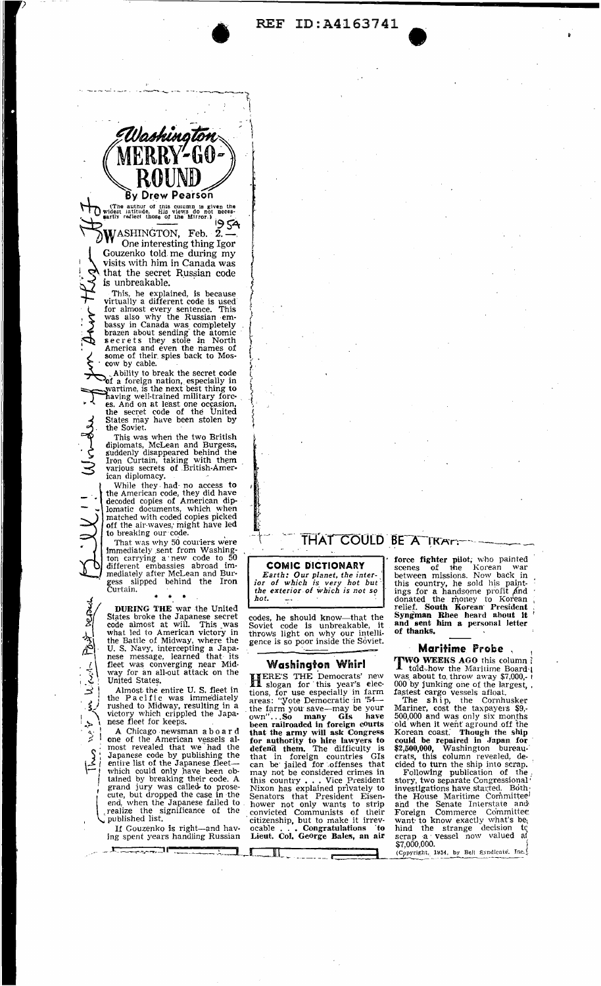**REF ID:A4163741** 



'

(The author of this coumm is given the<br>widest iatitude. His views do not neces-<br>sarily redict those of the Mirror.)<br> $\frac{19}{54}$ WASHINGTON, Feb. 2. --<br>One interesting thing Igor

Gouzenko told me during my<br>visits with him in Canada was that the secret Russian code is unbreakable.

is unbreakable.  $\overrightarrow{f}$ <br>This, he explained, is because  $\overrightarrow{f}$ <br>virtually a different code is used  $\sim$  was also why the Russian em-5 bassy in Canada was completely  $\sum_{s}$  brazen about sending the atomic  $\left\{ \sum_{s} \right\}$ America and even the names of some of their spies back to Mos-<br>cow by cable.

Ability to break the secret code  $\int$  of a foreign nation, especially in  $\int$  wartime, is the next best thing to aving well-trained military fore- . ·I.,. es. And on at le·ast one oc~asion, the secret code of the United  $\frac{1}{2}$ 

. the Soviet.

. .

\

 $\left| \frac{S}{\sqrt{2}} \right|$ 

l

<sup>1</sup> States may have been stolen by<br>
the Soviet.<br>
This was when the two British<br>
diplomats, McLean and Burgess,<br>
suddenly disappeared behind the<br>
Iron Curtain, taking with them This was when the two British<br>
diplomats, McLean and Burgess,<br>
suddenly disappeared behind the<br>
Iron Curtain, taking with them<br>
various secrets of .British-American diplomacy.

While they. had- no access to the American code, they did have decoded copies of American diplomatic documents, which when matched with coded copies picked off the air waves, might have led to breaking our code.

That was why 50 couriers were<br>Immediately sent from Washington carrying a new code to 50<br>different embassies abroad im-<br>mediately after McLean and Bur-<br>gess slipped behind the Iron<br>Curtain.

 $\frac{\gamma}{\gamma}$  DURING THE war the United<br>S States broke the Japanese secret<br> $\frac{\gamma}{\gamma}$  code almost at will. This was States broke the Japanese secret code almost at will. This was )!..., \ what Jed to American victory in "~ the Battle of Midway, where the U. S. Navy, intercepting a Japa nese message, learned that its *r* fleet was converging near Mid-<br>
way for an all-out attack on the<br>
1. 1 United States. fleet was converging near Mid-<br>way for an all-out attack on the<br> $\leq$ <br> $\geq$  inited States.<br>Almost the entire U. S. fleet in

the Pacific was immediately<br>'  $\left\{\right\}$ ' rushed to Midway, resulting in a 13 rushed to Midway, resulting in a<br>victory which crippled the Japa-<br> $\sum$  1 nese fleet for keeps.

 $\begin{bmatrix} 1 & \text{if } \\ 2 & \text{if } \\ 3 & \text{if } \end{bmatrix}$  A Chicago newsman aboard A: Chicago newsman aboard<br>  $\therefore$  one of the American vessels al-<br>
most revealed that we had the *1* most revealed that we had the *Japanese* code by publishing the entire list of the Japanese fleet—<br>which could only have been ob-<br>tained by breaking their code. A<br>grand jury was called- to prosewhich could only have been obtained by breaking their code. A<br>grand jury was called to prose-<br>cute, but dropped the case in the<br>end when the Jananese failed to end, when the Japanese failed to realize the significance of the published list.

> If Gouzenko is right-and having spent years handling Russian

THAT COULD BE A TRACT

COMIC DICTIONARY *Earth: Our planet, the inter-*<br>ior of which is very hot but *the exterior of which is not so hot.* 

codes, he should know-that the Soviet code is unbreakable, it throws light on why our intelligence is so poor inside the Soviet.

## Washin9ton Whirl

HERE'S THE Democrats' new tions, for use especially in farm<br>areas: "Vote Democratic in '54—<br>the farm you save—may be your the farm you save—may be your<br>own"...So many GIs have<br>been railroaded in foreign courts been railroaded in foreign cOurts that the army will ask Congress for authority to hire lawyers to defend them. The difficulty is<br>that in foreign countries GIs<br>can be jailed for offenses that<br>may not be considered crimes in<br>this country... Vice President<br>Nixon has explained privately to<br>Senators that President Eisenhower not only wants to strip convicted Communists of their<br>citizenship, but to make it irrevocable . . . Congratulations to<br>Lieut. Col. George Bales, an air force fighter pilot; who painted<br>scenes of the Korean war<br>between missions. Now back in<br>this country, he sold his paint-<br>ings for a handsome profit ,<br>and donated the money to Korean relief. South Korean President Syngman Rhee heard about it<br>and sent him a personal letter<br>of thanks.

## **Maritime Probe**

**TWO WEEKS AGO** this column is told how the Maritime Board 1 **toid.** how the Maritime Board I was about to throw away \$7,000,-000 by junking one of the largest, , fastest cargo vessels afloat.

The ship, the Cornhusker Mariner, cost the taxpayers \$9,- 500,000 and was only six months . old when it went aground off the Korean coast: Though the ship could be repaired in Japan for \$2,500,000, Washington bureau-· crats, this column revealed, decided to turn the ship into scrap.

Following publication of the, story, two separate Congressional <sup>*i*</sup><br>investigations have started. Both<sub>:</sub> the House Maritime Committee! and the Senate Interstate and Foreign Commerce Co'mmittee'. want<sup>.</sup> to know exactly what's be<sub>i</sub><br>hind the strange decision tq scrap a vessel now valued af  $$7,000,000$ .<br>(Copyright, 1954, by Bel) Syndicate. Inc.)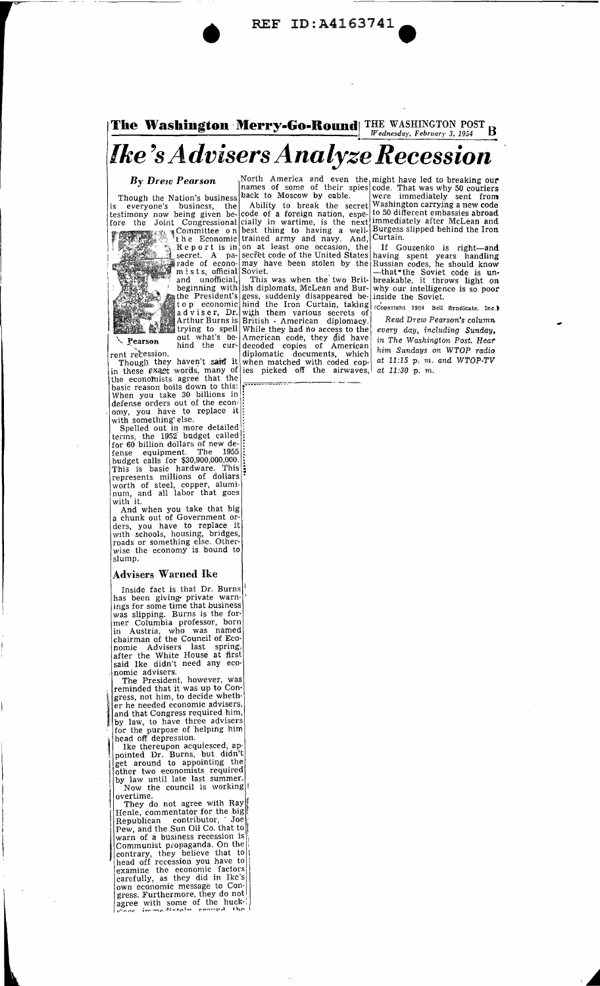• REF ID :A4163741 **<sup>e</sup>**

## **The Washington Merry-Go-Round** THE WASHINGTON POST B *Ike's Advisers Analyze Recession*

the economists agree that the  $\frac{1}{2}$ 

When you take 30 billions in: defense orders out of the econ-<br>omy, you have to replace it:

with something' else.<br>Spelled out in more detailed terms, the 1952 budget called :<br>for 60 billion dollars of new de-<br>fense equipment. The 1955  $\frac{1}{5}$ budget calls for \$30,900,000,000.<br>This is basic hardware. This :<br>represents millions of dollars •<br>worth of steel, copper, aluminum, and all labor that goes num, and all labor that goes<br>with it.<br>And when you take that big

And when you take that big<br>a chunk out of Government or-<br>ders, you have to replace it<br>with schools, housing, bridges, roads or something else. Otherwise the economy is bound to slump.

### Advisers Warned Ike

Inside fact is that Dr. Burns has been giving private warn-<br>ings for some time that business ings for some time that business was slipping. Burns is the former Columbia professor, born in Austria, who was named chairman of the Council of Economic Advisers last spring, after the White House at first said Ike didn't need any eco-

nomic advisers.<br>The President, however, was , reminded that it was up to Congress, not him, to decide wheth-<br>er he needed economic advisers, ar<br>| by<br>| fo er he needed economic advisers, and that Congress required him, by law, to have three advisers<br>for the purpose of helping him head off depression.

Ike thereupon acquiesced, appointed Dr. Burns, but didn't get around to appointing the other two economists required by law until late last summer. Now the council is working  $\begin{bmatrix} \text{log} \\ \text{overtime} \\ \text{Im} \end{bmatrix}$ overtime.

They do not agree with Ray Henle, commentator for the big<br>
Republican contributor, Joe<br>
Pew and the Sun Oil Co, that to I vari of a business recession is Communist propaganda. On the intentional contrary, they believe that to head off recession you have to Pew, and the Sun Oil Co. that to contrary, they believe that to head off recession you have to examine the economic factors carefully, as they did in Ike's<br>own economic message to Congress. Furthermore, they do not agree with some of the huck-:

*By Drew Pearson* Morth America and even the might have led to breaking our names of some of their spies code. That was why 50 couriers

is everyone's business, the Ability to break the secret Washington carrying a new code testimony now being given be- code of a foreign nation, espe-  $\pm$  50 different embassies abroad fore the Joint Congressional cially in wartime, is the next immediately after McLean and  $\frac{1}{\infty}$  ,  $\frac{1}{\infty}$  and  $\frac{1}{\infty}$  and  $\frac{1}{\infty}$  and  $\frac{1}{\infty}$  and  $\frac{1}{\infty}$  and  $\frac{1}{\infty}$  and  $\frac{1}{\infty}$  and  $\frac{1}{$  $\frac{1}{\pi}$  the Economic trained army and navy. And, Curtain. Report is in on at least one occasion, the If Gouzenko is right-and secret. A pa- secret code of the United States having spent years handling

the President's gess, suddenly disappeared be inside the Soviet.<br>top economic hind the Iron Curtain, taking convertent 1954 Bell Syndicate, Inc.)<br>adviser, Dr. with them various secrets of Read Drew Pearson's column<br>Arthur trying to spell While they bad no access to the pearson out what's be- American code, they did have learned the current recession. (diplomatic documents, which<br>Though they haven't said it when matched with coded copin these exact words, many of ies picked off the airwaves,

Though the Nation's business  $\vert$  back to Moscow by cable.  $\vert$  were immediately sent from

rade of econo- may have been stolen by the Russian codes, he should know m is t s, official Soviet.<br>
and unofficial, This was when the two Brit-<br>
beginning with ish diplomats, McLean and Bur-<br>
why our intelligence is so po

*Read Drew Pearson's colum.n every day, including Sunday, in The Washington Post. Hear him Sundays on WTOP radio. at 11:15* p. m. *and WTOP-TV at 11:30* p. *m..*